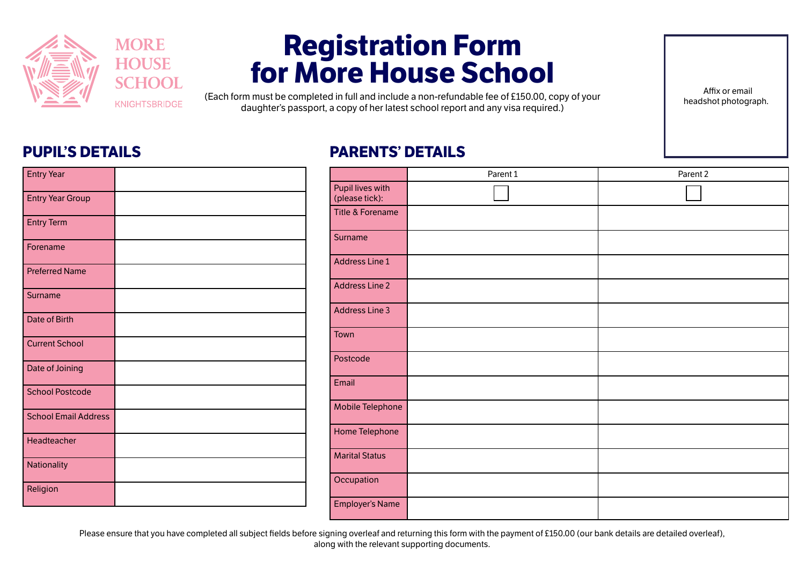

## **Registration Form for More House School**

(Each form must be completed in full and include a non-refundable fee of £150.00, copy of your daughter's passport, a copy of her latest school report and any visa required.)

 Affix or email headshot photograph.

## **PUPIL'S DETAILS**

Entry Year

## **PARENTS' DETAILS**

| .<br>$\sim$ $\sim$ $\sim$   |  |
|-----------------------------|--|
| <b>Entry Year Group</b>     |  |
| <b>Entry Term</b>           |  |
| Forename                    |  |
| <b>Preferred Name</b>       |  |
| Surname                     |  |
| Date of Birth               |  |
| <b>Current School</b>       |  |
| Date of Joining             |  |
| <b>School Postcode</b>      |  |
| <b>School Email Address</b> |  |
| Headteacher                 |  |
| Nationality                 |  |
| Religion                    |  |

|                                    | Parent 1 | Parent 2 |
|------------------------------------|----------|----------|
| Pupil lives with<br>(please tick): |          |          |
| Title & Forename                   |          |          |
| Surname                            |          |          |
| <b>Address Line 1</b>              |          |          |
| <b>Address Line 2</b>              |          |          |
| <b>Address Line 3</b>              |          |          |
| Town                               |          |          |
| Postcode                           |          |          |
| Email                              |          |          |
| Mobile Telephone                   |          |          |
| Home Telephone                     |          |          |
| <b>Marital Status</b>              |          |          |
| Occupation                         |          |          |
| <b>Employer's Name</b>             |          |          |

Please ensure that you have completed all subject fields before signing overleaf and returning this form with the payment of £150.00 (our bank details are detailed overleaf). along with the relevant supporting documents.